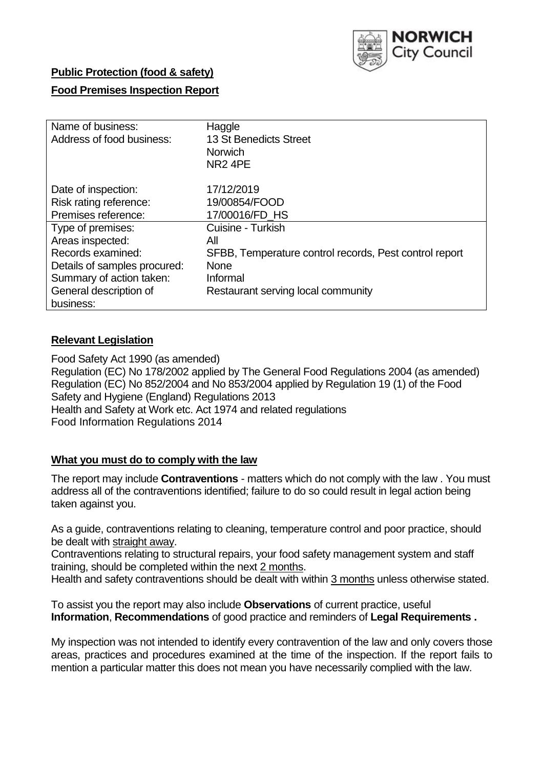

## **Public Protection (food & safety)**

# **Food Premises Inspection Report**

| Name of business:<br>Address of food business: | Haggle<br>13 St Benedicts Street<br><b>Norwich</b><br>NR <sub>2</sub> 4PE |
|------------------------------------------------|---------------------------------------------------------------------------|
| Date of inspection:                            | 17/12/2019                                                                |
| Risk rating reference:                         | 19/00854/FOOD                                                             |
| Premises reference:                            | 17/00016/FD HS                                                            |
| Type of premises:                              | Cuisine - Turkish                                                         |
| Areas inspected:                               | All                                                                       |
| Records examined:                              | SFBB, Temperature control records, Pest control report                    |
| Details of samples procured:                   | <b>None</b>                                                               |
| Summary of action taken:                       | Informal                                                                  |
| General description of                         | Restaurant serving local community                                        |
| business:                                      |                                                                           |

# **Relevant Legislation**

Food Safety Act 1990 (as amended) Regulation (EC) No 178/2002 applied by The General Food Regulations 2004 (as amended) Regulation (EC) No 852/2004 and No 853/2004 applied by Regulation 19 (1) of the Food Safety and Hygiene (England) Regulations 2013 Health and Safety at Work etc. Act 1974 and related regulations Food Information Regulations 2014

### **What you must do to comply with the law**

The report may include **Contraventions** - matters which do not comply with the law . You must address all of the contraventions identified; failure to do so could result in legal action being taken against you.

As a guide, contraventions relating to cleaning, temperature control and poor practice, should be dealt with straight away.

Contraventions relating to structural repairs, your food safety management system and staff training, should be completed within the next 2 months.

Health and safety contraventions should be dealt with within 3 months unless otherwise stated.

To assist you the report may also include **Observations** of current practice, useful **Information**, **Recommendations** of good practice and reminders of **Legal Requirements .**

My inspection was not intended to identify every contravention of the law and only covers those areas, practices and procedures examined at the time of the inspection. If the report fails to mention a particular matter this does not mean you have necessarily complied with the law.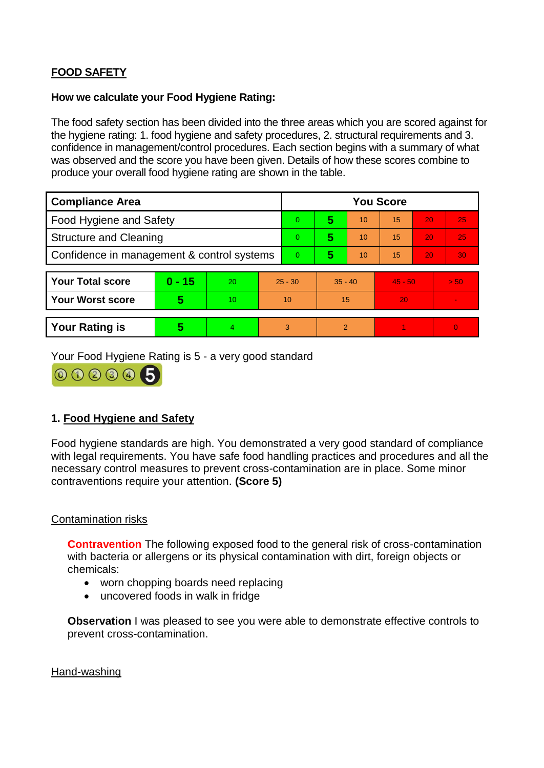# **FOOD SAFETY**

#### **How we calculate your Food Hygiene Rating:**

The food safety section has been divided into the three areas which you are scored against for the hygiene rating: 1. food hygiene and safety procedures, 2. structural requirements and 3. confidence in management/control procedures. Each section begins with a summary of what was observed and the score you have been given. Details of how these scores combine to produce your overall food hygiene rating are shown in the table.

| <b>Compliance Area</b>                     |          |    |           | <b>You Score</b> |                |    |           |    |                |  |  |
|--------------------------------------------|----------|----|-----------|------------------|----------------|----|-----------|----|----------------|--|--|
| Food Hygiene and Safety                    |          |    |           | $\Omega$         | 5              | 10 | 15        | 20 | 25             |  |  |
| <b>Structure and Cleaning</b>              |          |    | $\Omega$  | 5                | 10             | 15 | 20        | 25 |                |  |  |
| Confidence in management & control systems |          |    | $\Omega$  | 5                | 10             | 15 | 20        | 30 |                |  |  |
|                                            |          |    |           |                  |                |    |           |    |                |  |  |
| <b>Your Total score</b>                    | $0 - 15$ | 20 | $25 - 30$ |                  | $35 - 40$      |    | $45 - 50$ |    | > 50           |  |  |
| <b>Your Worst score</b>                    | 5        | 10 | 10        |                  | 15             |    | 20        |    | $\blacksquare$ |  |  |
|                                            |          |    |           |                  |                |    |           |    |                |  |  |
| <b>Your Rating is</b>                      | 5        | 4. | 3         |                  | $\overline{2}$ |    |           |    | $\overline{0}$ |  |  |

Your Food Hygiene Rating is 5 - a very good standard



# **1. Food Hygiene and Safety**

Food hygiene standards are high. You demonstrated a very good standard of compliance with legal requirements. You have safe food handling practices and procedures and all the necessary control measures to prevent cross-contamination are in place. Some minor contraventions require your attention. **(Score 5)**

### Contamination risks

**Contravention** The following exposed food to the general risk of cross-contamination with bacteria or allergens or its physical contamination with dirt, foreign objects or chemicals:

- worn chopping boards need replacing
- uncovered foods in walk in fridge

**Observation** I was pleased to see you were able to demonstrate effective controls to prevent cross-contamination.

Hand-washing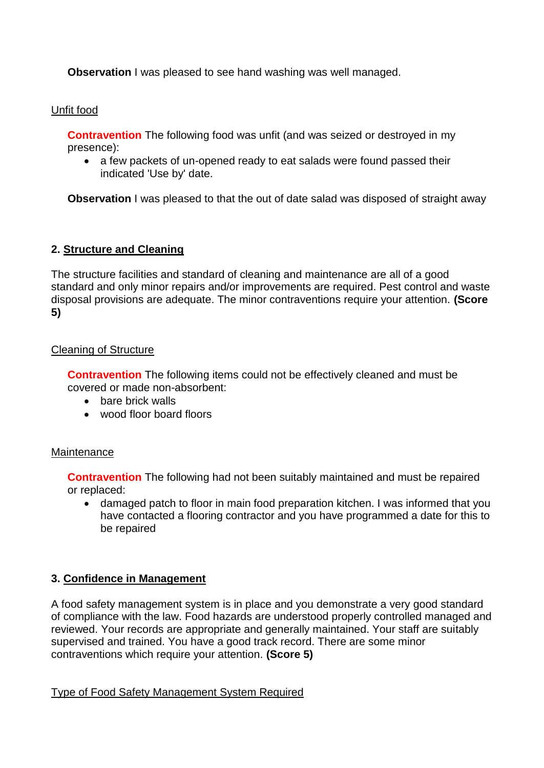**Observation** I was pleased to see hand washing was well managed.

# Unfit food

**Contravention** The following food was unfit (and was seized or destroyed in my presence):

 a few packets of un-opened ready to eat salads were found passed their indicated 'Use by' date.

**Observation** I was pleased to that the out of date salad was disposed of straight away

# **2. Structure and Cleaning**

The structure facilities and standard of cleaning and maintenance are all of a good standard and only minor repairs and/or improvements are required. Pest control and waste disposal provisions are adequate. The minor contraventions require your attention. **(Score 5)**

# Cleaning of Structure

**Contravention** The following items could not be effectively cleaned and must be covered or made non-absorbent:

- bare brick walls
- wood floor board floors

### Maintenance

**Contravention** The following had not been suitably maintained and must be repaired or replaced:

 damaged patch to floor in main food preparation kitchen. I was informed that you have contacted a flooring contractor and you have programmed a date for this to be repaired

# **3. Confidence in Management**

A food safety management system is in place and you demonstrate a very good standard of compliance with the law. Food hazards are understood properly controlled managed and reviewed. Your records are appropriate and generally maintained. Your staff are suitably supervised and trained. You have a good track record. There are some minor contraventions which require your attention. **(Score 5)**

Type of Food Safety Management System Required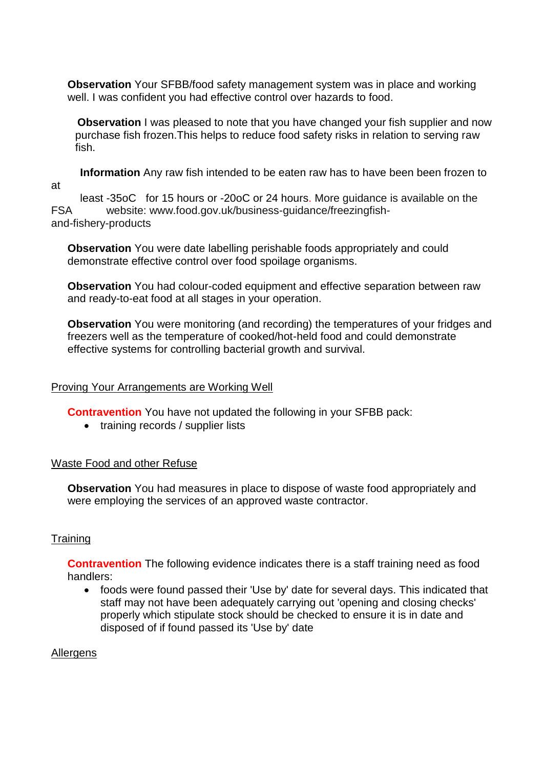**Observation** Your SFBB/food safety management system was in place and working well. I was confident you had effective control over hazards to food.

**Observation** I was pleased to note that you have changed your fish supplier and now purchase fish frozen.This helps to reduce food safety risks in relation to serving raw fish.

 **Information** Any raw fish intended to be eaten raw has to have been been frozen to at

 least -35oC for 15 hours or -20oC or 24 hours. More guidance is available on the FSA website: www.food.gov.uk/business-guidance/freezingfishand-fishery-products

**Observation** You were date labelling perishable foods appropriately and could demonstrate effective control over food spoilage organisms.

**Observation** You had colour-coded equipment and effective separation between raw and ready-to-eat food at all stages in your operation.

**Observation** You were monitoring (and recording) the temperatures of your fridges and freezers well as the temperature of cooked/hot-held food and could demonstrate effective systems for controlling bacterial growth and survival.

### Proving Your Arrangements are Working Well

**Contravention** You have not updated the following in your SFBB pack:

• training records / supplier lists

### Waste Food and other Refuse

**Observation** You had measures in place to dispose of waste food appropriately and were employing the services of an approved waste contractor.

### **Training**

**Contravention** The following evidence indicates there is a staff training need as food handlers:

 foods were found passed their 'Use by' date for several days. This indicated that staff may not have been adequately carrying out 'opening and closing checks' properly which stipulate stock should be checked to ensure it is in date and disposed of if found passed its 'Use by' date

Allergens